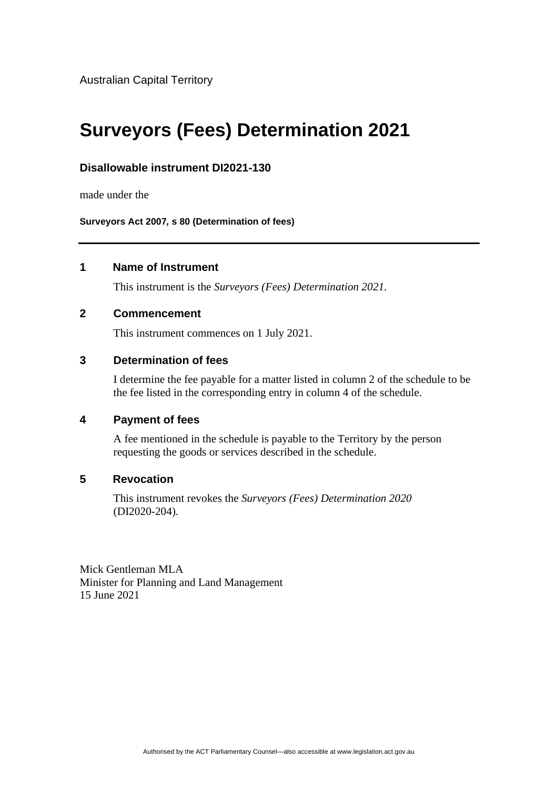Australian Capital Territory

# **Surveyors (Fees) Determination 2021**

## **Disallowable instrument DI2021-130**

made under the

**Surveyors Act 2007***,* **s 80 (Determination of fees)**

## **1 Name of Instrument**

This instrument is the *Surveyors (Fees) Determination 2021.*

#### **2 Commencement**

This instrument commences on 1 July 2021.

## **3 Determination of fees**

I determine the fee payable for a matter listed in column 2 of the schedule to be the fee listed in the corresponding entry in column 4 of the schedule.

## **4 Payment of fees**

A fee mentioned in the schedule is payable to the Territory by the person requesting the goods or services described in the schedule.

# **5 Revocation**

This instrument revokes the *Surveyors (Fees) Determination 2020* (DI2020-204).

Mick Gentleman MLA Minister for Planning and Land Management 15 June 2021